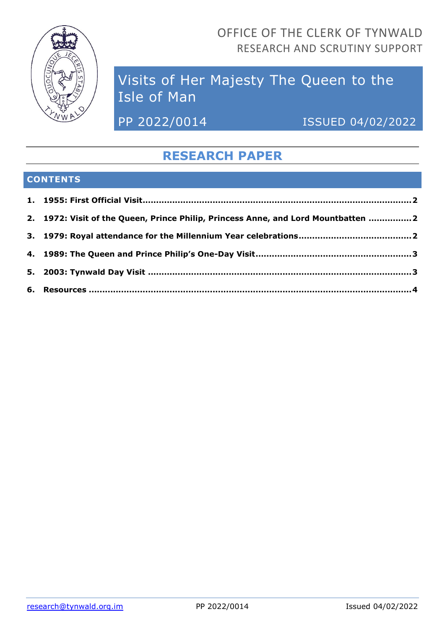

OFFICE OF THE CLERK OF TYNWALD RESEARCH AND SCRUTINY SUPPORT

# Visits of Her Majesty The Queen to the Isle of Man

PP 2022/0014 ISSUED 04/02/2022

## **RESEARCH PAPER**

### **CONTENTS**

| 2. 1972: Visit of the Queen, Prince Philip, Princess Anne, and Lord Mountbatten 2 |  |
|-----------------------------------------------------------------------------------|--|
|                                                                                   |  |
|                                                                                   |  |
|                                                                                   |  |
|                                                                                   |  |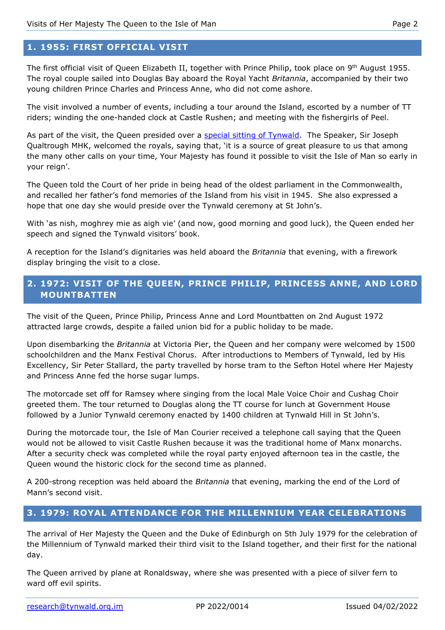#### <span id="page-1-0"></span>**1. 1955: FIRST OFFICIAL VISIT**

The first official visit of Queen Elizabeth II, together with Prince Philip, took place on 9<sup>th</sup> August 1955. The royal couple sailed into Douglas Bay aboard the Royal Yacht *Britannia*, accompanied by their two young children Prince Charles and Princess Anne, who did not come ashore.

The visit involved a number of events, including a tour around the Island, escorted by a number of TT riders; winding the one-handed clock at Castle Rushen; and meeting with the fishergirls of Peel.

As part of the visit, the Queen presided over a [special sitting of Tynwald.](https://www.tynwald.org.im/business/hansard/19401960/TC-19550809-v0072.pdf) The Speaker, Sir Joseph Qualtrough MHK, welcomed the royals, saying that, 'it is a source of great pleasure to us that among the many other calls on your time, Your Majesty has found it possible to visit the Isle of Man so early in your reign'.

The Queen told the Court of her pride in being head of the oldest parliament in the Commonwealth, and recalled her father's fond memories of the Island from his visit in 1945. She also expressed a hope that one day she would preside over the Tynwald ceremony at St John's.

With 'as nish, moghrey mie as aigh vie' (and now, good morning and good luck), the Queen ended her speech and signed the Tynwald visitors' book.

A reception for the Island's dignitaries was held aboard the *Britannia* that evening, with a firework display bringing the visit to a close.

#### <span id="page-1-1"></span>**2. 1972: VISIT OF THE QUEEN, PRINCE PHILIP, PRINCESS ANNE, AND LORD MOUNTBATTEN**

The visit of the Queen, Prince Philip, Princess Anne and Lord Mountbatten on 2nd August 1972 attracted large crowds, despite a failed union bid for a public holiday to be made.

Upon disembarking the *Britannia* at Victoria Pier, the Queen and her company were welcomed by 1500 schoolchildren and the Manx Festival Chorus. After introductions to Members of Tynwald, led by His Excellency, Sir Peter Stallard, the party travelled by horse tram to the Sefton Hotel where Her Majesty and Princess Anne fed the horse sugar lumps.

The motorcade set off for Ramsey where singing from the local Male Voice Choir and Cushag Choir greeted them. The tour returned to Douglas along the TT course for lunch at Government House followed by a Junior Tynwald ceremony enacted by 1400 children at Tynwald Hill in St John's.

During the motorcade tour, the Isle of Man Courier received a telephone call saying that the Queen would not be allowed to visit Castle Rushen because it was the traditional home of Manx monarchs. After a security check was completed while the royal party enjoyed afternoon tea in the castle, the Queen wound the historic clock for the second time as planned.

A 200-strong reception was held aboard the *Britannia* that evening, marking the end of the Lord of Mann's second visit.

#### <span id="page-1-2"></span>**3. 1979: ROYAL ATTENDANCE FOR THE MILLENNIUM YEAR CELEBRATIONS**

The arrival of Her Majesty the Queen and the Duke of Edinburgh on 5th July 1979 for the celebration of the Millennium of Tynwald marked their third visit to the Island together, and their first for the national day.

The Queen arrived by plane at Ronaldsway, where she was presented with a piece of silver fern to ward off evil spirits.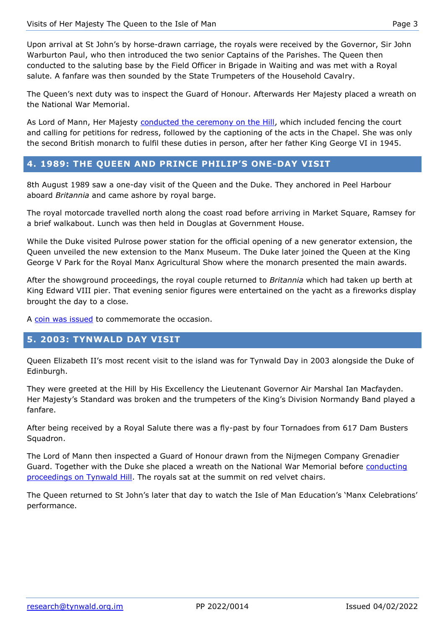Upon arrival at St John's by horse-drawn carriage, the royals were received by the Governor, Sir John Warburton Paul, who then introduced the two senior Captains of the Parishes. The Queen then conducted to the saluting base by the Field Officer in Brigade in Waiting and was met with a Royal salute. A fanfare was then sounded by the State Trumpeters of the Household Cavalry.

The Queen's next duty was to inspect the Guard of Honour. Afterwards Her Majesty placed a wreath on the National War Memorial.

As Lord of Mann, Her Majesty [conducted the ceremony on the Hill,](https://www.tynwald.org.im/business/hansard/19601980/TC-19790705-v0096.pdf) which included fencing the court and calling for petitions for redress, followed by the captioning of the acts in the Chapel. She was only the second British monarch to fulfil these duties in person, after her father King George VI in 1945.

#### <span id="page-2-0"></span>**4. 1989: THE QUEEN AND PRINCE PHILIP'S ONE-DAY VISIT**

8th August 1989 saw a one-day visit of the Queen and the Duke. They anchored in Peel Harbour aboard *Britannia* and came ashore by royal barge.

The royal motorcade travelled north along the coast road before arriving in Market Square, Ramsey for a brief walkabout. Lunch was then held in Douglas at Government House.

While the Duke visited Pulrose power station for the official opening of a new generator extension, the Queen unveiled the new extension to the Manx Museum. The Duke later joined the Queen at the King George V Park for the Royal Manx Agricultural Show where the monarch presented the main awards.

After the showground proceedings, the royal couple returned to *Britannia* which had taken up berth at King Edward VIII pier. That evening senior figures were entertained on the yacht as a fireworks display brought the day to a close.

A [coin was issued](https://en.numista.com/catalogue/pieces68716.html) to commemorate the occasion.

#### <span id="page-2-1"></span>**5. 2003: TYNWALD DAY VISIT**

Queen Elizabeth II's most recent visit to the island was for Tynwald Day in 2003 alongside the Duke of Edinburgh.

They were greeted at the Hill by His Excellency the Lieutenant Governor Air Marshal Ian Macfayden. Her Majesty's Standard was broken and the trumpeters of the King's Division Normandy Band played a fanfare.

After being received by a Royal Salute there was a fly-past by four Tornadoes from 617 Dam Busters Squadron.

The Lord of Mann then inspected a Guard of Honour drawn from the Nijmegen Company Grenadier Guard. Together with the Duke she placed a wreath on the National War Memorial before conducting [proceedings on Tynwald Hill.](https://www.tynwald.org.im/business/hansard/20002020/th07072003.pdf) The royals sat at the summit on red velvet chairs.

The Queen returned to St John's later that day to watch the Isle of Man Education's 'Manx Celebrations' performance.